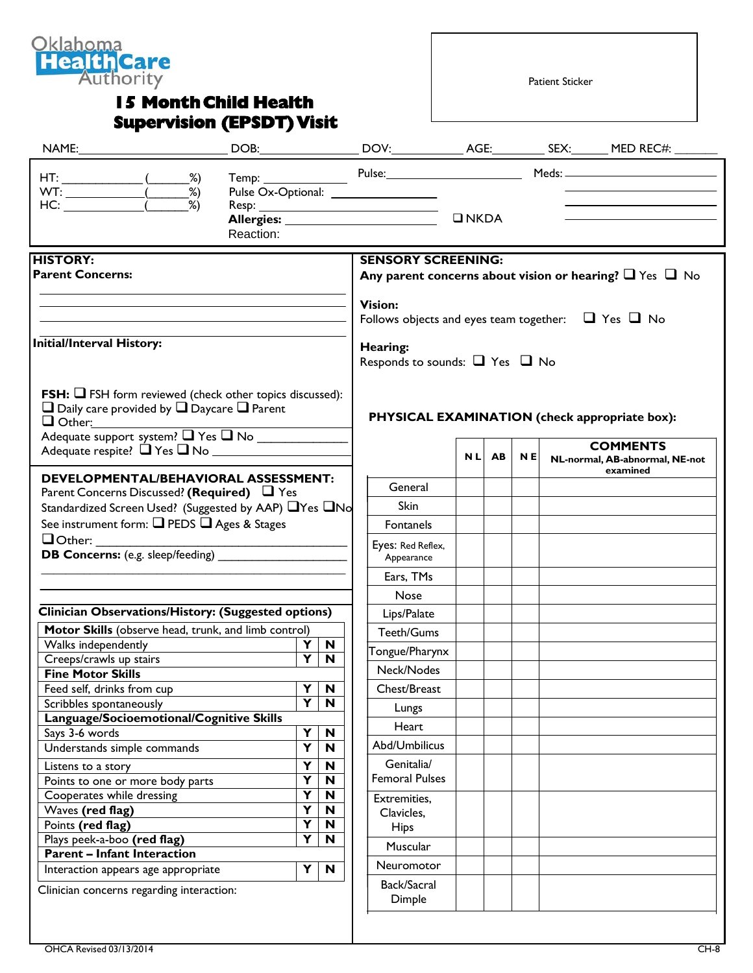

## **15 Month Child Health Supervision (EPSDT) Visit**

Patient Sticker

|                                                                                                                                                                                                                                                                                                                                                                                                                                                            | Reaction:                                                                             |                                                                                           | Pulse Ox-Optional: ___________________                                                                                                                                                           | $\n  INKDA\n$ |  |  |  | Temp: Pulse: Pulse: Meds: 2000 Meds: 2000 Meds: 2000 Meds: 2000 Meds: 2000 Meds: 2000 Meds: 2000 Meds: 2000 Meds: 2000 Meds: 2000 Meds: 2000 Meds: 2000 Meds: 2000 Meds: 2000 Meds: 2000 Meds: 2000 Meds: 2000 Meds: 2000 Meds<br>the control of the control of the control of the control of |
|------------------------------------------------------------------------------------------------------------------------------------------------------------------------------------------------------------------------------------------------------------------------------------------------------------------------------------------------------------------------------------------------------------------------------------------------------------|---------------------------------------------------------------------------------------|-------------------------------------------------------------------------------------------|--------------------------------------------------------------------------------------------------------------------------------------------------------------------------------------------------|---------------|--|--|--|-----------------------------------------------------------------------------------------------------------------------------------------------------------------------------------------------------------------------------------------------------------------------------------------------|
| <b>HISTORY:</b><br><b>Parent Concerns:</b><br><b>Initial/Interval History:</b>                                                                                                                                                                                                                                                                                                                                                                             |                                                                                       |                                                                                           | <b>SENSORY SCREENING:</b><br>Any parent concerns about vision or hearing? $\Box$ Yes $\Box$ No<br><b>Vision:</b><br>Follows objects and eyes team together: $\Box$ Yes $\Box$ No<br>Hearing:     |               |  |  |  |                                                                                                                                                                                                                                                                                               |
| <b>FSH:</b> $\Box$ FSH form reviewed (check other topics discussed):<br>$\Box$ Daily care provided by $\Box$ Daycare $\Box$ Parent<br>$\Box$ Other:<br>Adequate support system? T Yes T No                                                                                                                                                                                                                                                                 |                                                                                       |                                                                                           | Responds to sounds: $\Box$ Yes $\Box$ No                                                                                                                                                         | NL AB         |  |  |  | PHYSICAL EXAMINATION (check appropriate box):<br><b>COMMENTS</b><br>N E NL-normal, AB-abnormal, NE-not<br>examined                                                                                                                                                                            |
| <b>DEVELOPMENTAL/BEHAVIORAL ASSESSMENT:</b><br>Parent Concerns Discussed? (Required) $\Box$ Yes<br>Standardized Screen Used? (Suggested by AAP) □ Yes □ No<br>See instrument form: Q PEDS Q Ages & Stages<br>$\Box$ Other:                                                                                                                                                                                                                                 |                                                                                       |                                                                                           | General<br>Skin<br>Fontanels<br>Eyes: Red Reflex,<br>Appearance<br>Ears, TMs                                                                                                                     |               |  |  |  |                                                                                                                                                                                                                                                                                               |
| Clinician Observations/History: (Suggested options)<br>Motor Skills (observe head, trunk, and limb control)<br>Walks independently<br>Creeps/crawls up stairs<br><b>Fine Motor Skills</b><br>Feed self, drinks from cup<br>Scribbles spontaneously<br>Language/Socioemotional/Cognitive Skills<br>Says 3-6 words<br>Understands simple commands<br>Listens to a story<br>Points to one or more body parts<br>Cooperates while dressing<br>Waves (red flag) | $\overline{\mathbf{Y}}$<br>Y<br>Ÿ<br>Y<br>Y<br>Y<br>Y<br>$\overline{\mathbf{Y}}$<br>Y | $\mathbf N$<br>$\mathbf N$<br>$\blacksquare$<br>N<br>N<br>$\mathbf N$<br>N<br>N<br>N<br>N | <b>Nose</b><br>Lips/Palate<br>Teeth/Gums<br>Tongue/Pharynx<br>Neck/Nodes<br>Chest/Breast<br>Lungs<br>Heart<br>Abd/Umbilicus<br>Genitalia/<br><b>Femoral Pulses</b><br>Extremities,<br>Clavicles, |               |  |  |  |                                                                                                                                                                                                                                                                                               |
| Points (red flag)<br>Plays peek-a-boo (red flag)<br><b>Parent - Infant Interaction</b><br>Interaction appears age appropriate<br>Clinician concerns regarding interaction:                                                                                                                                                                                                                                                                                 | Y<br>$\overline{\mathsf{Y}}$<br>Y                                                     | N<br>N<br>$\mathbf N$                                                                     | <b>Hips</b><br>Muscular<br><b>Neuromotor</b><br>Back/Sacral<br>Dimple                                                                                                                            |               |  |  |  |                                                                                                                                                                                                                                                                                               |